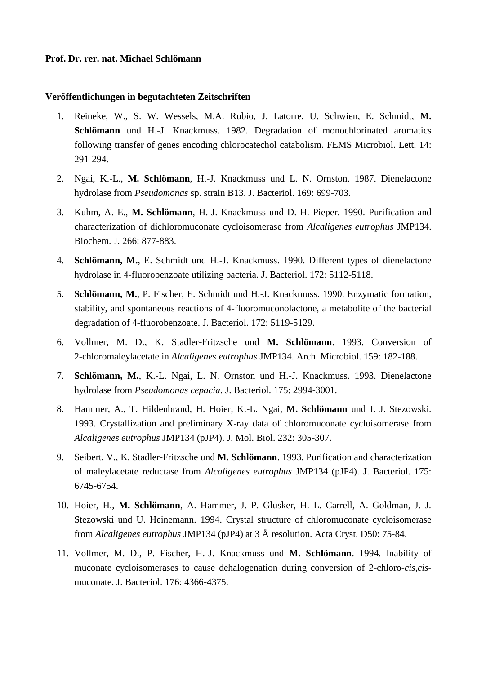# **Prof. Dr. rer. nat. Michael Schlömann**

#### **Veröffentlichungen in begutachteten Zeitschriften**

- 1. Reineke, W., S. W. Wessels, M.A. Rubio, J. Latorre, U. Schwien, E. Schmidt, **M. Schlömann** und H.-J. Knackmuss. 1982. Degradation of monochlorinated aromatics following transfer of genes encoding chlorocatechol catabolism. FEMS Microbiol. Lett. 14: 291-294.
- 2. Ngai, K.-L., **M. Schlömann**, H.-J. Knackmuss und L. N. Ornston. 1987. Dienelactone hydrolase from *Pseudomonas* sp. strain B13. J. Bacteriol. 169: 699-703.
- 3. Kuhm, A. E., **M. Schlömann**, H.-J. Knackmuss und D. H. Pieper. 1990. Purification and characterization of dichloromuconate cycloisomerase from *Alcaligenes eutrophus* JMP134. Biochem. J. 266: 877-883.
- 4. **Schlömann, M.**, E. Schmidt und H.-J. Knackmuss. 1990. Different types of dienelactone hydrolase in 4-fluorobenzoate utilizing bacteria. J. Bacteriol. 172: 5112-5118.
- 5. **Schlömann, M.**, P. Fischer, E. Schmidt und H.-J. Knackmuss. 1990. Enzymatic formation, stability, and spontaneous reactions of 4-fluoromuconolactone, a metabolite of the bacterial degradation of 4-fluorobenzoate. J. Bacteriol. 172: 5119-5129.
- 6. Vollmer, M. D., K. Stadler-Fritzsche und **M. Schlömann**. 1993. Conversion of 2-chloromaleylacetate in *Alcaligenes eutrophus* JMP134. Arch. Microbiol. 159: 182-188.
- 7. **Schlömann, M.**, K.-L. Ngai, L. N. Ornston und H.-J. Knackmuss. 1993. Dienelactone hydrolase from *Pseudomonas cepacia*. J. Bacteriol. 175: 2994-3001.
- 8. Hammer, A., T. Hildenbrand, H. Hoier, K.-L. Ngai, **M. Schlömann** und J. J. Stezowski. 1993. Crystallization and preliminary X-ray data of chloromuconate cycloisomerase from *Alcaligenes eutrophus* JMP134 (pJP4). J. Mol. Biol. 232: 305-307.
- 9. Seibert, V., K. Stadler-Fritzsche und **M. Schlömann**. 1993. Purification and characterization of maleylacetate reductase from *Alcaligenes eutrophus* JMP134 (pJP4). J. Bacteriol. 175: 6745-6754.
- 10. Hoier, H., **M. Schlömann**, A. Hammer, J. P. Glusker, H. L. Carrell, A. Goldman, J. J. Stezowski und U. Heinemann. 1994. Crystal structure of chloromuconate cycloisomerase from *Alcaligenes eutrophus* JMP134 (pJP4) at 3 Å resolution. Acta Cryst. D50: 75-84.
- 11. Vollmer, M. D., P. Fischer, H.-J. Knackmuss und **M. Schlömann**. 1994. Inability of muconate cycloisomerases to cause dehalogenation during conversion of 2-chloro-*cis,cis*muconate. J. Bacteriol. 176: 4366-4375.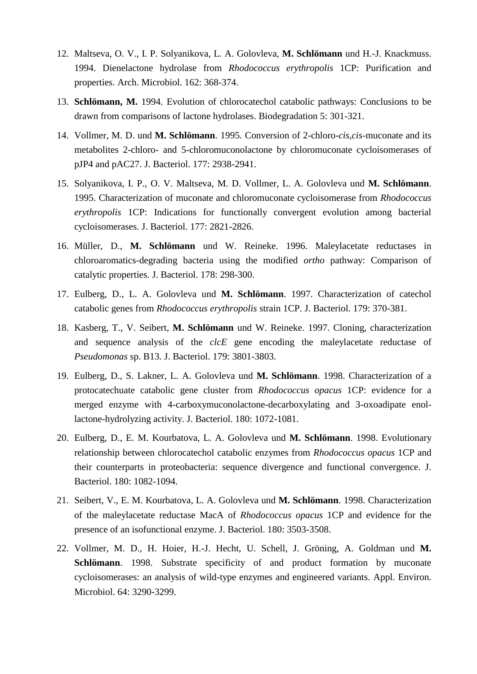- 12. Maltseva, O. V., I. P. Solyanikova, L. A. Golovleva, **M. Schlömann** und H.-J. Knackmuss. 1994. Dienelactone hydrolase from *Rhodococcus erythropolis* 1CP: Purification and properties. Arch. Microbiol. 162: 368-374.
- 13. **Schlömann, M.** 1994. Evolution of chlorocatechol catabolic pathways: Conclusions to be drawn from comparisons of lactone hydrolases. Biodegradation 5: 301-321.
- 14. Vollmer, M. D. und **M. Schlömann**. 1995. Conversion of 2-chloro-*cis,cis*-muconate and its metabolites 2-chloro- and 5-chloromuconolactone by chloromuconate cycloisomerases of pJP4 and pAC27. J. Bacteriol. 177: 2938-2941.
- 15. Solyanikova, I. P., O. V. Maltseva, M. D. Vollmer, L. A. Golovleva und **M. Schlömann**. 1995. Characterization of muconate and chloromuconate cycloisomerase from *Rhodococcus erythropolis* 1CP: Indications for functionally convergent evolution among bacterial cycloisomerases. J. Bacteriol. 177: 2821-2826.
- 16. Müller, D., **M. Schlömann** und W. Reineke. 1996. Maleylacetate reductases in chloroaromatics-degrading bacteria using the modified *ortho* pathway: Comparison of catalytic properties. J. Bacteriol. 178: 298-300.
- 17. Eulberg, D., L. A. Golovleva und **M. Schlömann**. 1997. Characterization of catechol catabolic genes from *Rhodococcus erythropolis* strain 1CP. J. Bacteriol. 179: 370-381.
- 18. Kasberg, T., V. Seibert, **M. Schlömann** und W. Reineke. 1997. Cloning, characterization and sequence analysis of the *clcE* gene encoding the maleylacetate reductase of *Pseudomonas* sp. B13. J. Bacteriol. 179: 3801-3803.
- 19. Eulberg, D., S. Lakner, L. A. Golovleva und **M. Schlömann**. 1998. Characterization of a protocatechuate catabolic gene cluster from *Rhodococcus opacus* 1CP: evidence for a merged enzyme with 4-carboxymuconolactone-decarboxylating and 3-oxoadipate enollactone-hydrolyzing activity. J. Bacteriol. 180: 1072-1081.
- 20. Eulberg, D., E. M. Kourbatova, L. A. Golovleva und **M. Schlömann**. 1998. Evolutionary relationship between chlorocatechol catabolic enzymes from *Rhodococcus opacus* 1CP and their counterparts in proteobacteria: sequence divergence and functional convergence. J. Bacteriol. 180: 1082-1094.
- 21. Seibert, V., E. M. Kourbatova, L. A. Golovleva und **M. Schlömann**. 1998. Characterization of the maleylacetate reductase MacA of *Rhodococcus opacus* 1CP and evidence for the presence of an isofunctional enzyme. J. Bacteriol. 180: 3503-3508.
- 22. Vollmer, M. D., H. Hoier, H.-J. Hecht, U. Schell, J. Gröning, A. Goldman und **M. Schlömann**. 1998. Substrate specificity of and product formation by muconate cycloisomerases: an analysis of wild-type enzymes and engineered variants. Appl. Environ. Microbiol. 64: 3290-3299.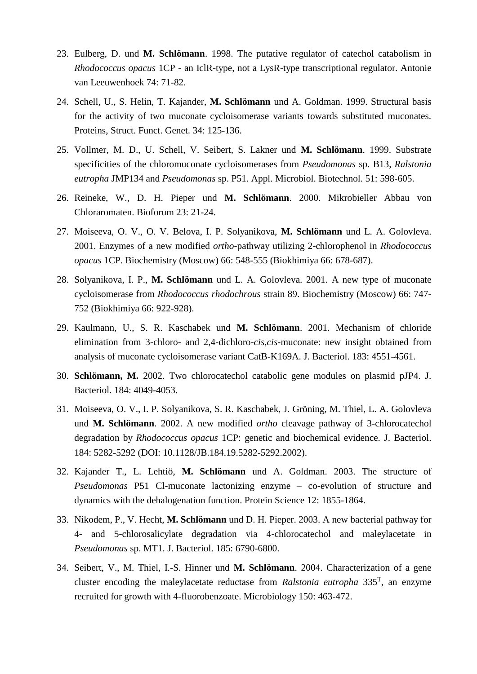- 23. Eulberg, D. und **M. Schlömann**. 1998. The putative regulator of catechol catabolism in *Rhodococcus opacus* 1CP - an IclR-type, not a LysR-type transcriptional regulator. Antonie van Leeuwenhoek 74: 71-82.
- 24. Schell, U., S. Helin, T. Kajander, **M. Schlömann** und A. Goldman. 1999. Structural basis for the activity of two muconate cycloisomerase variants towards substituted muconates. Proteins, Struct. Funct. Genet. 34: 125-136.
- 25. Vollmer, M. D., U. Schell, V. Seibert, S. Lakner und **M. Schlömann**. 1999. Substrate specificities of the chloromuconate cycloisomerases from *Pseudomonas* sp. B13, *Ralstonia eutropha* JMP134 and *Pseudomonas* sp. P51. Appl. Microbiol. Biotechnol. 51: 598-605.
- 26. Reineke, W., D. H. Pieper und **M. Schlömann**. 2000. Mikrobieller Abbau von Chloraromaten. Bioforum 23: 21-24.
- 27. Moiseeva, O. V., O. V. Belova, I. P. Solyanikova, **M. Schlömann** und L. A. Golovleva. 2001. Enzymes of a new modified *ortho*-pathway utilizing 2-chlorophenol in *Rhodococcus opacus* 1CP. Biochemistry (Moscow) 66: 548-555 (Biokhimiya 66: 678-687).
- 28. Solyanikova, I. P., **M. Schlömann** und L. A. Golovleva. 2001. A new type of muconate cycloisomerase from *Rhodococcus rhodochrous* strain 89. Biochemistry (Moscow) 66: 747- 752 (Biokhimiya 66: 922-928).
- 29. Kaulmann, U., S. R. Kaschabek und **M. Schlömann**. 2001. Mechanism of chloride elimination from 3-chloro- and 2,4-dichloro-*cis,cis*-muconate: new insight obtained from analysis of muconate cycloisomerase variant CatB-K169A. J. Bacteriol. 183: 4551-4561.
- 30. **Schlömann, M.** 2002. Two chlorocatechol catabolic gene modules on plasmid pJP4. J. Bacteriol. 184: 4049-4053.
- 31. Moiseeva, O. V., I. P. Solyanikova, S. R. Kaschabek, J. Gröning, M. Thiel, L. A. Golovleva und **M. Schlömann**. 2002. A new modified *ortho* cleavage pathway of 3-chlorocatechol degradation by *Rhodococcus opacus* 1CP: genetic and biochemical evidence. J. Bacteriol. 184: 5282-5292 (DOI: 10.1128/JB.184.19.5282-5292.2002).
- 32. Kajander T., L. Lehtiö, **M. Schlömann** und A. Goldman. 2003. The structure of *Pseudomonas* P51 Cl-muconate lactonizing enzyme – co-evolution of structure and dynamics with the dehalogenation function. Protein Science 12: 1855-1864.
- 33. Nikodem, P., V. Hecht, **M. Schlömann** und D. H. Pieper. 2003. A new bacterial pathway for 4- and 5-chlorosalicylate degradation via 4-chlorocatechol and maleylacetate in *Pseudomonas* sp. MT1. J. Bacteriol. 185: 6790-6800.
- 34. Seibert, V., M. Thiel, I.-S. Hinner und **M. Schlömann**. 2004. Characterization of a gene cluster encoding the maleylacetate reductase from *Ralstonia eutropha* 335<sup>T</sup> , an enzyme recruited for growth with 4-fluorobenzoate. Microbiology 150: 463-472.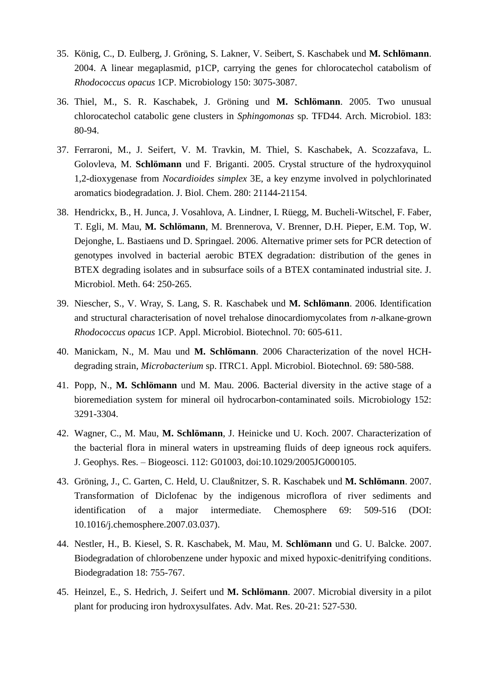- 35. König, C., D. Eulberg, J. Gröning, S. Lakner, V. Seibert, S. Kaschabek und **M. Schlömann**. 2004. A linear megaplasmid, p1CP, carrying the genes for chlorocatechol catabolism of *Rhodococcus opacus* 1CP. Microbiology 150: 3075-3087.
- 36. Thiel, M., S. R. Kaschabek, J. Gröning und **M. Schlömann**. 2005. Two unusual chlorocatechol catabolic gene clusters in *Sphingomonas* sp. TFD44. Arch. Microbiol. 183: 80-94.
- 37. Ferraroni, M., J. Seifert, V. M. Travkin, M. Thiel, S. Kaschabek, A. Scozzafava, L. Golovleva, M. **Schlömann** und F. Briganti. 2005. Crystal structure of the hydroxyquinol 1,2-dioxygenase from *Nocardioides simplex* 3E, a key enzyme involved in polychlorinated aromatics biodegradation. J. Biol. Chem. 280: 21144-21154.
- 38. Hendrickx, B., H. Junca, J. Vosahlova, A. Lindner, I. Rüegg, M. Bucheli-Witschel, F. Faber, T. Egli, M. Mau, **M. Schlömann**, M. Brennerova, V. Brenner, D.H. Pieper, E.M. Top, W. Dejonghe, L. Bastiaens und D. Springael. 2006. Alternative primer sets for PCR detection of genotypes involved in bacterial aerobic BTEX degradation: distribution of the genes in BTEX degrading isolates and in subsurface soils of a BTEX contaminated industrial site. J. Microbiol. Meth. 64: 250-265.
- 39. Niescher, S., V. Wray, S. Lang, S. R. Kaschabek und **M. Schlömann**. 2006. Identification and structural characterisation of novel trehalose dinocardiomycolates from *n*-alkane-grown *Rhodococcus opacus* 1CP. Appl. Microbiol. Biotechnol. 70: 605-611.
- 40. Manickam, N., M. Mau und **M. Schlömann**. 2006 Characterization of the novel HCHdegrading strain, *Microbacterium* sp. ITRC1. Appl. Microbiol. Biotechnol. 69: 580-588.
- 41. Popp, N., **M. Schlömann** und M. Mau. 2006. Bacterial diversity in the active stage of a bioremediation system for mineral oil hydrocarbon-contaminated soils. Microbiology 152: 3291-3304.
- 42. Wagner, C., M. Mau, **M. Schlömann**, J. Heinicke und U. Koch. 2007. Characterization of the bacterial flora in mineral waters in upstreaming fluids of deep igneous rock aquifers. J. Geophys. Res. – Biogeosci. 112: G01003, doi:10.1029/2005JG000105.
- 43. Gröning, J., C. Garten, C. Held, U. Claußnitzer, S. R. Kaschabek und **M. Schlömann**. 2007. Transformation of Diclofenac by the indigenous microflora of river sediments and identification of a major intermediate. Chemosphere 69: 509-516 (DOI: 10.1016/j.chemosphere.2007.03.037).
- 44. Nestler, H., B. Kiesel, S. R. Kaschabek, M. Mau, M. **Schlömann** und G. U. Balcke. 2007. Biodegradation of chlorobenzene under hypoxic and mixed hypoxic-denitrifying conditions. Biodegradation 18: 755-767.
- 45. Heinzel, E., S. Hedrich, J. Seifert und **M. Schlömann**. 2007. Microbial diversity in a pilot plant for producing iron hydroxysulfates. Adv. Mat. Res. 20-21: 527-530.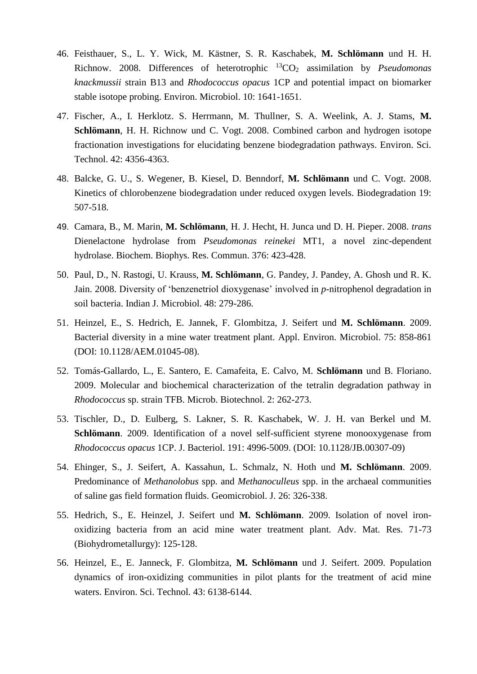- 46. Feisthauer, S., L. Y. Wick, M. Kästner, S. R. Kaschabek, **M. Schlömann** und H. H. Richnow. 2008. Differences of heterotrophic <sup>13</sup>CO<sup>2</sup> assimilation by *Pseudomonas knackmussii* strain B13 and *Rhodococcus opacus* 1CP and potential impact on biomarker stable isotope probing. Environ. Microbiol. 10: 1641-1651.
- 47. Fischer, A., I. Herklotz. S. Herrmann, M. Thullner, S. A. Weelink, A. J. Stams, **M. Schlömann**, H. H. Richnow und C. Vogt. 2008. Combined carbon and hydrogen isotope fractionation investigations for elucidating benzene biodegradation pathways. Environ. Sci. Technol. 42: 4356-4363.
- 48. Balcke, G. U., S. Wegener, B. Kiesel, D. Benndorf, **M. Schlömann** und C. Vogt. 2008. Kinetics of chlorobenzene biodegradation under reduced oxygen levels. Biodegradation 19: 507-518.
- 49. Camara, B., M. Marin, **M. Schlömann**, H. J. Hecht, H. Junca und D. H. Pieper. 2008. *trans* Dienelactone hydrolase from *Pseudomonas reinekei* MT1, a novel zinc-dependent hydrolase. Biochem. Biophys. Res. Commun. 376: 423-428.
- 50. Paul, D., N. Rastogi, U. Krauss, **M. Schlömann**, G. Pandey, J. Pandey, A. Ghosh und R. K. Jain. 2008. Diversity of 'benzenetriol dioxygenase' involved in *p-*nitrophenol degradation in soil bacteria. Indian J. Microbiol. 48: 279-286.
- 51. Heinzel, E., S. Hedrich, E. Jannek, F. Glombitza, J. Seifert und **M. Schlömann**. 2009. Bacterial diversity in a mine water treatment plant. Appl. Environ. Microbiol. 75: 858-861 (DOI: 10.1128/AEM.01045-08).
- 52. Tomás-Gallardo, L., E. Santero, E. Camafeita, E. Calvo, M. **Schlömann** und B. Floriano. 2009. Molecular and biochemical characterization of the tetralin degradation pathway in *Rhodococcus* sp. strain TFB. Microb. Biotechnol. 2: 262-273.
- 53. Tischler, D., D. Eulberg, S. Lakner, S. R. Kaschabek, W. J. H. van Berkel und M. **Schlömann**. 2009. Identification of a novel self-sufficient styrene monooxygenase from *Rhodococcus opacus* 1CP. J. Bacteriol. 191: 4996-5009. (DOI: 10.1128/JB.00307-09)
- 54. Ehinger, S., J. Seifert, A. Kassahun, L. Schmalz, N. Hoth und **M. Schlömann**. 2009. Predominance of *Methanolobus* spp. and *Methanoculleus* spp. in the archaeal communities of saline gas field formation fluids. Geomicrobiol. J. 26: 326-338.
- 55. Hedrich, S., E. Heinzel, J. Seifert und **M. Schlömann**. 2009. Isolation of novel ironoxidizing bacteria from an acid mine water treatment plant. Adv. Mat. Res. 71-73 (Biohydrometallurgy): 125-128.
- 56. Heinzel, E., E. Janneck, F. Glombitza, **M. Schlömann** und J. Seifert. 2009. Population dynamics of iron-oxidizing communities in pilot plants for the treatment of acid mine waters. Environ. Sci. Technol. 43: 6138-6144.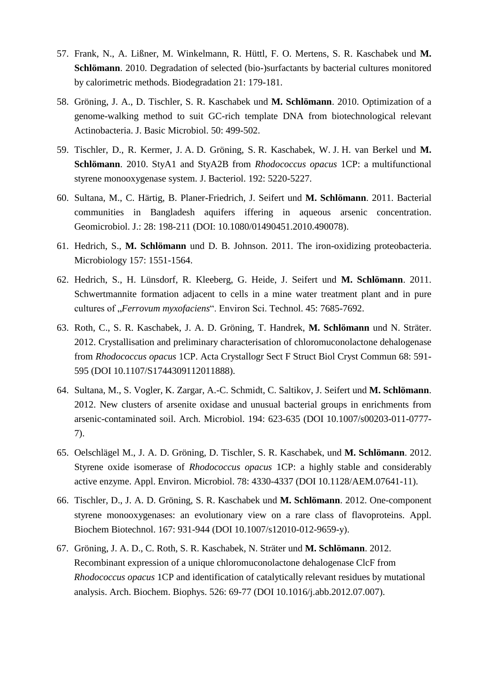- 57. Frank, N., A. Lißner, M. Winkelmann, R. Hüttl, F. O. Mertens, S. R. Kaschabek und **M. Schlömann**. 2010. Degradation of selected (bio-)surfactants by bacterial cultures monitored by calorimetric methods. Biodegradation 21: 179-181.
- 58. Gröning, J. A., D. Tischler, S. R. Kaschabek und **M. Schlömann**. 2010. Optimization of a genome-walking method to suit GC-rich template DNA from biotechnological relevant Actinobacteria. J. Basic Microbiol. 50: 499-502.
- 59. Tischler, D., R. Kermer, J. A. D. Gröning, S. R. Kaschabek, W. J. H. van Berkel und **M. Schlömann**. 2010. StyA1 and StyA2B from *Rhodococcus opacus* 1CP: a multifunctional styrene monooxygenase system. J. Bacteriol. 192: 5220-5227.
- 60. Sultana, M., C. Härtig, B. Planer-Friedrich, J. Seifert und **M. Schlömann**. 2011. Bacterial communities in Bangladesh aquifers iffering in aqueous arsenic concentration. Geomicrobiol. J.: 28: 198-211 (DOI: 10.1080/01490451.2010.490078).
- 61. Hedrich, S., **M. Schlömann** und D. B. Johnson. 2011. The iron-oxidizing proteobacteria. Microbiology 157: 1551-1564.
- 62. Hedrich, S., H. Lünsdorf, R. Kleeberg, G. Heide, J. Seifert und **M. Schlömann**. 2011. Schwertmannite formation adjacent to cells in a mine water treatment plant and in pure cultures of "*Ferrovum myxofaciens*". Environ Sci. Technol. 45: 7685-7692.
- 63. Roth, C., S. R. Kaschabek, J. A. D. Gröning, T. Handrek, **M. Schlömann** und N. Sträter. 2012. Crystallisation and preliminary characterisation of chloromuconolactone dehalogenase from *Rhodococcus opacus* 1CP. Acta Crystallogr Sect F Struct Biol Cryst Commun 68: 591- 595 (DOI 10.1107/S1744309112011888).
- 64. Sultana, M., S. Vogler, K. Zargar, A.-C. Schmidt, C. Saltikov, J. Seifert und **M. Schlömann**. 2012. New clusters of arsenite oxidase and unusual bacterial groups in enrichments from arsenic-contaminated soil. Arch. Microbiol. 194: 623-635 (DOI 10.1007/s00203-011-0777- 7).
- 65. Oelschlägel M., J. A. D. Gröning, D. Tischler, S. R. Kaschabek, und **M. Schlömann**. 2012. Styrene oxide isomerase of *Rhodococcus opacus* 1CP: a highly stable and considerably active enzyme. Appl. Environ. Microbiol. 78: 4330-4337 (DOI 10.1128/AEM.07641-11).
- 66. Tischler, D., J. A. D. Gröning, S. R. Kaschabek und **M. Schlömann**. 2012. One-component styrene monooxygenases: an evolutionary view on a rare class of flavoproteins. Appl. Biochem Biotechnol. 167: 931-944 (DOI 10.1007/s12010-012-9659-y).
- 67. Gröning, J. A. D., C. Roth, S. R. Kaschabek, N. Sträter und **M. Schlömann**. 2012. Recombinant expression of a unique chloromuconolactone dehalogenase ClcF from *Rhodococcus opacus* 1CP and identification of catalytically relevant residues by mutational analysis. Arch. Biochem. Biophys. 526: 69-77 (DOI 10.1016/j.abb.2012.07.007).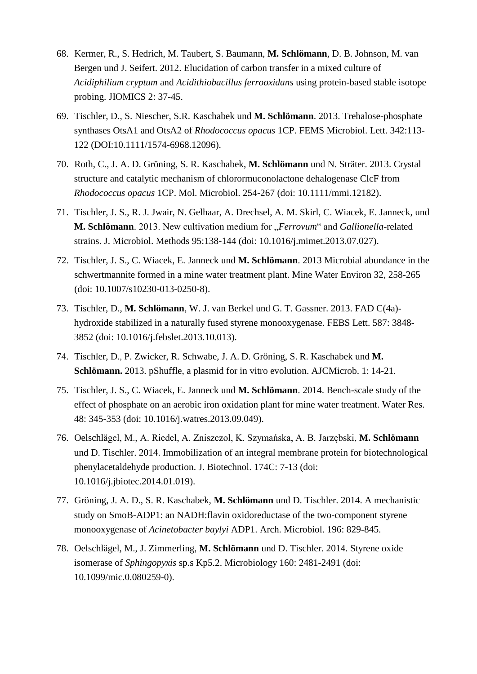- 68. Kermer, R., S. Hedrich, M. Taubert, S. Baumann, **M. Schlömann**, D. B. Johnson, M. van Bergen und J. Seifert. 2012. Elucidation of carbon transfer in a mixed culture of *Acidiphilium cryptum* and *Acidithiobacillus ferrooxidans* using protein-based stable isotope probing. JIOMICS 2: 37-45.
- 69. Tischler, D., S. Niescher, S.R. Kaschabek und **M. Schlömann**. 2013. Trehalose-phosphate synthases OtsA1 and OtsA2 of *Rhodococcus opacus* 1CP. FEMS Microbiol. Lett. 342:113- 122 (DOI:10.1111/1574-6968.12096).
- 70. Roth, C., J. A. D. Gröning, S. R. Kaschabek, **M. Schlömann** und N. Sträter. 2013. Crystal structure and catalytic mechanism of chlorormuconolactone dehalogenase ClcF from *Rhodococcus opacus* 1CP. Mol. Microbiol. 254-267 (doi: 10.1111/mmi.12182).
- 71. Tischler, J. S., R. J. Jwair, N. Gelhaar, A. Drechsel, A. M. Skirl, C. Wiacek, E. Janneck, und **M. Schlömann**. 2013. New cultivation medium for "*Ferrovum*" and *Gallionella*-related strains. J. Microbiol. Methods 95:138-144 (doi: 10.1016/j.mimet.2013.07.027).
- 72. Tischler, J. S., C. Wiacek, E. Janneck und **M. Schlömann**. 2013 Microbial abundance in the schwertmannite formed in a mine water treatment plant. Mine Water Environ 32, 258-265 (doi: 10.1007/s10230-013-0250-8).
- 73. Tischler, D., **M. Schlömann**, W. J. van Berkel und G. T. Gassner. 2013. FAD C(4a) hydroxide stabilized in a naturally fused styrene monooxygenase. FEBS Lett. 587: 3848- 3852 (doi: 10.1016/j.febslet.2013.10.013).
- 74. Tischler, D., P. Zwicker, R. Schwabe, J. A. D. Gröning, S. R. Kaschabek und **M. Schlömann.** 2013. pShuffle, a plasmid for in vitro evolution. AJCMicrob. 1: 14-21.
- 75. Tischler, J. S., C. Wiacek, E. Janneck und **M. Schlömann**. 2014. Bench-scale study of the effect of phosphate on an aerobic iron oxidation plant for mine water treatment. Water Res. 48: 345-353 (doi: 10.1016/j.watres.2013.09.049).
- 76. Oelschlägel, M., A. Riedel, A. Zniszczol, K. Szymańska, A. B. Jarzębski, **M. Schlömann** und D. Tischler. 2014. Immobilization of an integral membrane protein for biotechnological phenylacetaldehyde production. J. Biotechnol. 174C: 7-13 (doi: 10.1016/j.jbiotec.2014.01.019).
- 77. Gröning, J. A. D., S. R. Kaschabek, **M. Schlömann** und D. Tischler. 2014. A mechanistic study on SmoB-ADP1: an NADH:flavin oxidoreductase of the two-component styrene monooxygenase of *Acinetobacter baylyi* ADP1. Arch. Microbiol. 196: 829-845.
- 78. Oelschlägel, M., J. Zimmerling, **M. Schlömann** und D. Tischler. 2014. Styrene oxide isomerase of *Sphingopyxis* sp.s Kp5.2. Microbiology 160: 2481-2491 (doi: 10.1099/mic.0.080259-0).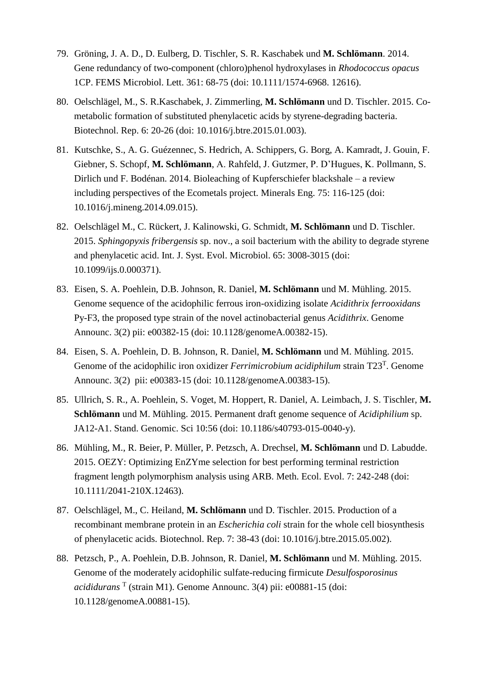- 79. Gröning, J. A. D., D. Eulberg, D. Tischler, S. R. Kaschabek und **M. Schlömann**. 2014. Gene redundancy of two-component (chloro)phenol hydroxylases in *Rhodococcus opacus* 1CP. FEMS Microbiol. Lett. 361: 68-75 (doi: 10.1111/1574-6968. 12616).
- 80. Oelschlägel, M., S. R.Kaschabek, J. Zimmerling, **M. Schlömann** und D. Tischler. 2015. Cometabolic formation of substituted phenylacetic acids by styrene-degrading bacteria. Biotechnol. Rep. 6: 20-26 (doi: 10.1016/j.btre.2015.01.003).
- 81. Kutschke, S., A. G. Guézennec, S. Hedrich, A. Schippers, G. Borg, A. Kamradt, J. Gouin, F. Giebner, S. Schopf, **M. Schlömann**, A. Rahfeld, J. Gutzmer, P. D'Hugues, K. Pollmann, S. Dirlich und F. Bodénan. 2014. Bioleaching of Kupferschiefer blackshale – a review including perspectives of the Ecometals project. Minerals Eng. 75: 116-125 (doi: 10.1016/j.mineng.2014.09.015).
- 82. Oelschlägel M., C. Rückert, J. Kalinowski, G. Schmidt, **M. Schlömann** und D. Tischler. 2015. *Sphingopyxis fribergensis* sp. nov., a soil bacterium with the ability to degrade styrene and phenylacetic acid. Int. J. Syst. Evol. Microbiol. 65: 3008-3015 (doi: 10.1099/ijs.0.000371).
- 83. Eisen, S. A. Poehlein, D.B. Johnson, R. Daniel, **M. Schlömann** und M. Mühling. 2015. Genome sequence of the acidophilic ferrous iron-oxidizing isolate *Acidithrix ferrooxidans* Py-F3, the proposed type strain of the novel actinobacterial genus *Acidithrix*. Genome Announc. 3(2) pii: e00382-15 (doi: 10.1128/genomeA.00382-15).
- 84. Eisen, S. A. Poehlein, D. B. Johnson, R. Daniel, **M. Schlömann** und M. Mühling. 2015. Genome of the acidophilic iron oxidizer *Ferrimicrobium acidiphilum* strain T23<sup>T</sup>. Genome Announc. 3(2) pii: e00383-15 (doi: 10.1128/genomeA.00383-15).
- 85. Ullrich, S. R., A. Poehlein, S. Voget, M. Hoppert, R. Daniel, A. Leimbach, J. S. Tischler, **M. Schlömann** und M. Mühling. 2015. Permanent draft genome sequence of *Acidiphilium* sp. JA12-A1. Stand. Genomic. Sci 10:56 (doi: 10.1186/s40793-015-0040-y).
- 86. Mühling, M., R. Beier, P. Müller, P. Petzsch, A. Drechsel, **M. Schlömann** und D. Labudde. 2015. OEZY: Optimizing EnZYme selection for best performing terminal restriction fragment length polymorphism analysis using ARB. Meth. Ecol. Evol. 7: 242-248 (doi: 10.1111/2041-210X.12463).
- 87. Oelschlägel, M., C. Heiland, **M. Schlömann** und D. Tischler. 2015. Production of a recombinant membrane protein in an *Escherichia coli* strain for the whole cell biosynthesis of phenylacetic acids. Biotechnol. Rep. 7: 38-43 (doi: 10.1016/j.btre.2015.05.002).
- 88. Petzsch, P., A. Poehlein, D.B. Johnson, R. Daniel, **M. Schlömann** und M. Mühling. 2015. Genome of the moderately acidophilic sulfate-reducing firmicute *Desulfosporosinus acididurans* <sup>T</sup> (strain M1). Genome Announc. 3(4) pii: e00881-15 (doi: 10.1128/genomeA.00881-15).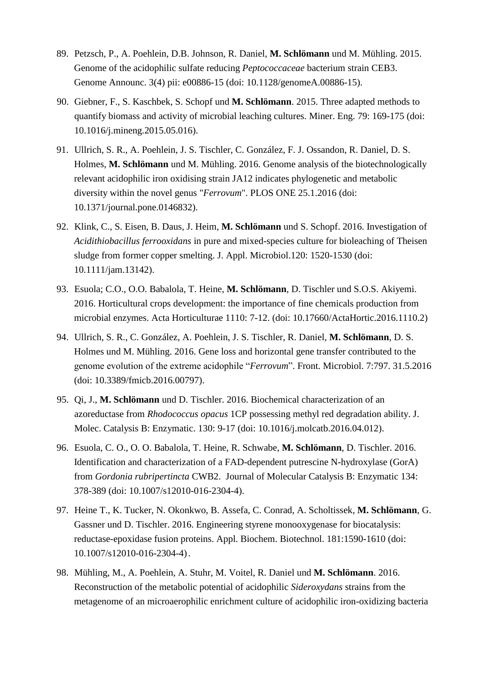- 89. Petzsch, P., A. Poehlein, D.B. Johnson, R. Daniel, **M. Schlömann** und M. Mühling. 2015. Genome of the acidophilic sulfate reducing *Peptococcaceae* bacterium strain CEB3. Genome Announc. 3(4) pii: e00886-15 (doi: 10.1128/genomeA.00886-15).
- 90. Giebner, F., S. Kaschbek, S. Schopf und **M. Schlömann**. 2015. Three adapted methods to quantify biomass and activity of microbial leaching cultures. Miner. Eng. 79: 169-175 (doi: 10.1016/j.mineng.2015.05.016).
- 91. Ullrich, S. R., A. Poehlein, J. S. Tischler, C. González, F. J. Ossandon, R. Daniel, D. S. Holmes, **M. Schlömann** und M. Mühling. 2016. Genome analysis of the biotechnologically relevant acidophilic iron oxidising strain JA12 indicates phylogenetic and metabolic diversity within the novel genus "*Ferrovum*". PLOS ONE 25.1.2016 (doi: 10.1371/journal.pone.0146832).
- 92. Klink, C., S. Eisen, B. Daus, J. Heim, **M. Schlömann** und S. Schopf. 2016. Investigation of *Acidithiobacillus ferrooxidans* in pure and mixed-species culture for bioleaching of Theisen sludge from former copper smelting. J. Appl. Microbiol.120: 1520-1530 (doi: 10.1111/jam.13142).
- 93. Esuola; C.O., O.O. Babalola, T. Heine, **M. Schlömann**, D. Tischler und S.O.S. Akiyemi. 2016. Horticultural crops development: the importance of fine chemicals production from microbial enzymes. Acta Horticulturae 1110: 7-12. (doi: 10.17660/ActaHortic.2016.1110.2)
- 94. Ullrich, S. R., C. González, A. Poehlein, J. S. Tischler, R. Daniel, **M. Schlömann**, D. S. Holmes und M. Mühling. 2016. Gene loss and horizontal gene transfer contributed to the genome evolution of the extreme acidophile "*Ferrovum*". Front. Microbiol. 7:797. 31.5.2016 (doi: 10.3389/fmicb.2016.00797).
- 95. Qi, J., **M. Schlömann** und D. Tischler. 2016. Biochemical characterization of an azoreductase from *Rhodococcus opacus* 1CP possessing methyl red degradation ability. J. Molec. Catalysis B: Enzymatic. 130: 9-17 (doi: 10.1016/j.molcatb.2016.04.012).
- 96. Esuola, C. O., O. O. Babalola, T. Heine, R. Schwabe, **M. Schlömann**, D. Tischler. 2016. Identification and characterization of a FAD-dependent putrescine N-hydroxylase (GorA) from *Gordonia rubripertincta* CWB2. Journal of Molecular Catalysis B: Enzymatic 134: 378-389 (doi: 10.1007/s12010-016-2304-4).
- 97. Heine T., K. Tucker, N. Okonkwo, B. Assefa, C. Conrad, A. Scholtissek, **M. Schlömann**, G. Gassner und D. Tischler. 2016. Engineering styrene monooxygenase for biocatalysis: reductase-epoxidase fusion proteins. Appl. Biochem. Biotechnol. 181:1590-1610 (doi: 10.1007/s12010-016-2304-4).
- 98. Mühling, M., A. Poehlein, A. Stuhr, M. Voitel, R. Daniel und **M. Schlömann**. 2016. Reconstruction of the metabolic potential of acidophilic *Sideroxydans* strains from the metagenome of an microaerophilic enrichment culture of acidophilic iron-oxidizing bacteria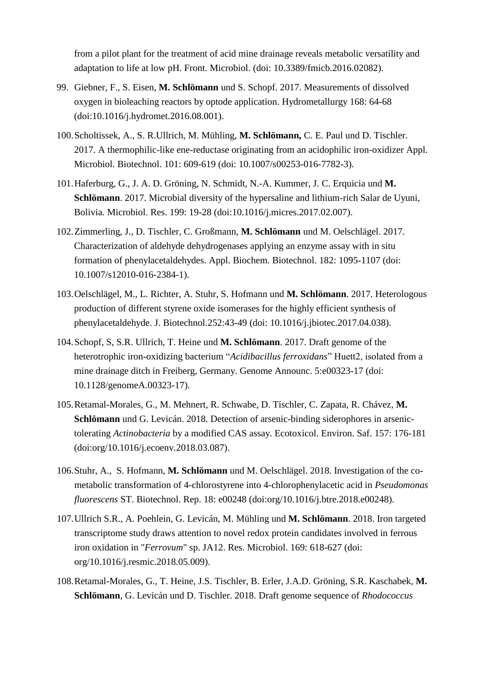from a pilot plant for the treatment of acid mine drainage reveals metabolic versatility and adaptation to life at low pH. Front. Microbiol. (doi: 10.3389/fmicb.2016.02082).

- 99. Giebner, F., S. Eisen, **M. Schlömann** und S. Schopf. 2017. Measurements of dissolved oxygen in bioleaching reactors by optode application. Hydrometallurgy 168: 64-68 (doi:10.1016/j.hydromet.2016.08.001).
- 100[.Scholtissek, A.,](mailto:anika.scholtissek,%20A.) [S. R.Ullrich,](mailto:.R.Ullrich) M. Mühling, **[M. Schlömann,](mailto:.%20SchlÖmann,)** C. E. [Paul](mailto:aul) und D. [Tischler.](mailto:dirk-tischler@email.de) 2017. A thermophilic-like ene-reductase originating from an acidophilic iron-oxidizer Appl. Microbiol. Biotechnol. 101: 609-619 (doi: 10.1007/s00253-016-7782-3).
- 101.Haferburg, G., J. A. D. Gröning, N. Schmidt, N.-A. Kummer, J. C. Erquicia und **M. Schlömann**. 2017. Microbial diversity of the hypersaline and lithium-rich Salar de Uyuni, Bolivia. Microbiol. Res. 199: 19-28 (doi:10.1016/j.micres.2017.02.007).
- 102.Zimmerling, J., D. Tischler, C. Großmann, **M. Schlömann** und M. Oelschlägel. 2017. Characterization of aldehyde dehydrogenases applying an enzyme assay with in situ formation of phenylacetaldehydes. Appl. Biochem. Biotechnol. 182: 1095-1107 (doi: 10.1007/s12010-016-2384-1).
- 103.Oelschlägel, M., L. Richter, A. Stuhr, S. Hofmann und **M. Schlömann**. 2017. Heterologous production of different styrene oxide isomerases for the highly efficient synthesis of phenylacetaldehyde. J. Biotechnol.252:43-49 (doi: 10.1016/j.jbiotec.2017.04.038).
- 104.Schopf, S, S.R. Ullrich, T. Heine und **M. Schlömann**. 2017. Draft genome of the heterotrophic iron-oxidizing bacterium "*Acidibacillus ferroxidans*" Huett2, isolated from a mine drainage ditch in Freiberg, Germany. Genome Announc. 5:e00323-17 (doi: 10.1128/genomeA.00323-17).
- 105.Retamal-Morales, G., M. Mehnert, R. Schwabe, D. Tischler, C. Zapata, R. Chávez, **M. Schlömann** und G. Levicán. 2018. Detection of arsenic-binding siderophores in arsenictolerating *Actinobacteria* by a modified CAS assay. Ecotoxicol. Environ. Saf. 157: 176-181 (doi:org/10.1016/j.ecoenv.2018.03.087).
- 106.Stuhr, A., S. Hofmann, **M. Schlömann** und M. Oelschlägel. 2018. Investigation of the cometabolic transformation of 4-chlorostyrene into 4-chlorophenylacetic acid in *Pseudomonas fluorescens* ST. Biotechnol. Rep. 18: e00248 (doi:org/10.1016/j.btre.2018.e00248).
- 107.Ullrich S.R., A. Poehlein, G. Levicán, M. Mühling und **M. Schlömann**. 2018. Iron targeted transcriptome study draws attention to novel redox protein candidates involved in ferrous iron oxidation in "*Ferrovum*" sp. JA12. Res. Microbiol. 169: 618-627 (doi: org/10.1016/j.resmic.2018.05.009).
- 108.Retamal-Morales, G., T. Heine, J.S. Tischler, B. Erler, J.A.D. Gröning, S.R. Kaschabek, **M. Schlömann**, G. Levicán und D. Tischler. 2018. Draft genome sequence of *Rhodococcus*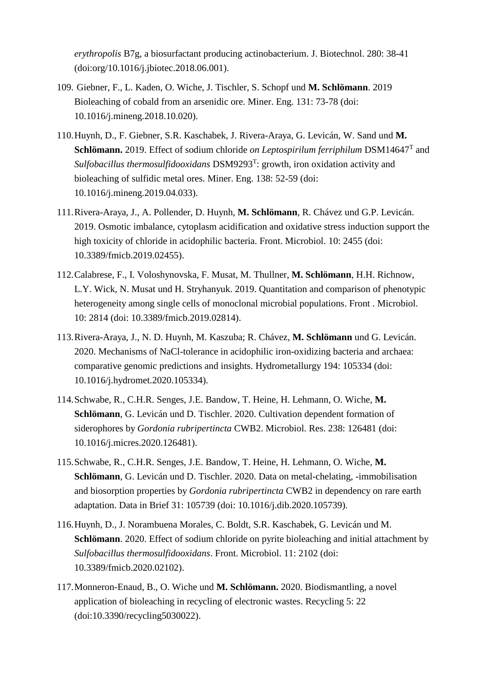*erythropolis* B7g, a biosurfactant producing actinobacterium. J. Biotechnol. 280: 38-41 (doi:org/10.1016/j.jbiotec.2018.06.001).

- 109. Giebner, F., L. Kaden, O. Wiche, J. Tischler, S. Schopf und **M. Schlömann**. 2019 Bioleaching of cobald from an arsenidic ore. Miner. Eng. 131: 73-78 (doi: 10.1016/j.mineng.2018.10.020).
- 110.Huynh, D., F. Giebner, S.R. Kaschabek, J. Rivera-Araya, G. Levicán, W. Sand und **M. Schlömann.** 2019. Effect of sodium chloride *on Leptospirilum ferriphilum* DSM14647<sup>T</sup> and *Sulfobacillus thermosulfidooxidans* DSM9293<sup>T</sup> : growth, iron oxidation activity and bioleaching of sulfidic metal ores. Miner. Eng. 138: 52-59 (doi: 10.1016/j.mineng.2019.04.033).
- 111.Rivera-Araya, J., A. Pollender, D. Huynh, **M. Schlömann**, R. Chávez und G.P. Levicán. 2019. Osmotic imbalance, cytoplasm acidification and oxidative stress induction support the high toxicity of chloride in acidophilic bacteria. Front. Microbiol. 10: 2455 (doi: 10.3389/fmicb.2019.02455).
- 112.Calabrese, F., I. Voloshynovska, F. Musat, M. Thullner, **M. Schlömann**, H.H. Richnow, L.Y. Wick, N. Musat und H. Stryhanyuk. 2019. Quantitation and comparison of phenotypic heterogeneity among single cells of monoclonal microbial populations. Front . Microbiol. 10: 2814 (doi: 10.3389/fmicb.2019.02814).
- 113.Rivera-Araya, J., N. D. Huynh, M. Kaszuba; R. Chávez, **M. Schlömann** und G. Levicán. 2020. Mechanisms of NaCl-tolerance in acidophilic iron-oxidizing bacteria and archaea: comparative genomic predictions and insights. Hydrometallurgy 194: 105334 (doi: 10.1016/j.hydromet.2020.105334).
- 114.Schwabe, R., C.H.R. Senges, J.E. Bandow, T. Heine, H. Lehmann, O. Wiche, **M. Schlömann**, G. Levicán und D. Tischler. 2020. Cultivation dependent formation of siderophores by *Gordonia rubripertincta* CWB2. Microbiol. Res. 238: 126481 (doi: 10.1016/j.micres.2020.126481).
- 115.Schwabe, R., C.H.R. Senges, J.E. Bandow, T. Heine, H. Lehmann, O. Wiche, **M. Schlömann**, G. Levicán und D. Tischler. 2020. Data on metal-chelating, -immobilisation and biosorption properties by *Gordonia rubripertincta* CWB2 in dependency on rare earth adaptation. Data in Brief 31: 105739 (doi: 10.1016/j.dib.2020.105739).
- 116.Huynh, D., J. Norambuena Morales, C. Boldt, S.R. Kaschabek, G. Levicán und M. **Schlömann**. 2020. Effect of sodium chloride on pyrite bioleaching and initial attachment by *Sulfobacillus thermosulfidooxidans*. Front. Microbiol. 11: 2102 (doi: 10.3389/fmicb.2020.02102).
- 117.Monneron-Enaud, B., O. Wiche und **M. Schlömann.** 2020. Biodismantling, a novel application of bioleaching in recycling of electronic wastes. Recycling 5: 22 (doi:10.3390/recycling5030022).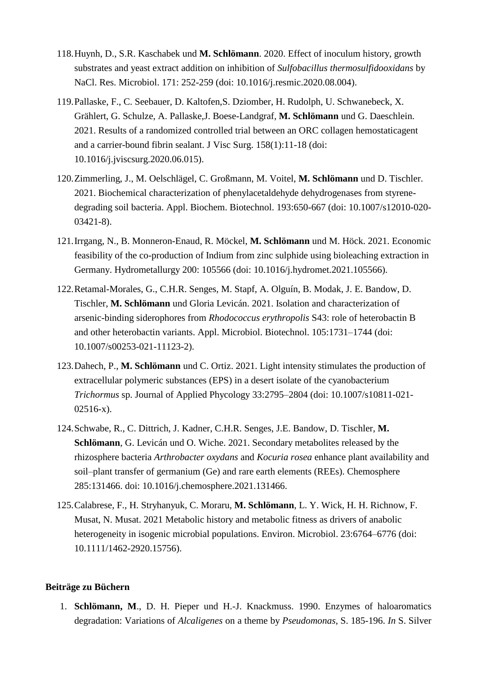- 118.Huynh, D., S.R. Kaschabek und **M. Schlömann**. 2020. Effect of inoculum history, growth substrates and yeast extract addition on inhibition of *Sulfobacillus thermosulfidooxidans* by NaCl. Res. Microbiol. 171: 252-259 (doi: 10.1016/j.resmic.2020.08.004).
- 119.Pallaske, F., C. Seebauer, D. Kaltofen,S. Dziomber, H. Rudolph, U. Schwanebeck, X. Grählert, G. Schulze, A. Pallaske,J. Boese-Landgraf, **M. Schlömann** und G. Daeschlein. 2021. Results of a randomized controlled trial between an ORC collagen hemostaticagent and a carrier-bound fibrin sealant. J Visc Surg. 158(1):11-18 (doi: 10.1016/j.jviscsurg.2020.06.015).
- 120.Zimmerling, J., M. Oelschlägel, C. Großmann, M. Voitel, **M. Schlömann** und D. Tischler. 2021. Biochemical characterization of phenylacetaldehyde dehydrogenases from styrenedegrading soil bacteria. Appl. Biochem. Biotechnol. 193:650-667 (doi: 10.1007/s12010-020- 03421-8).
- 121.Irrgang, N., B. Monneron-Enaud, R. Möckel, **M. Schlömann** und M. Höck. 2021. Economic feasibility of the co-production of Indium from zinc sulphide using bioleaching extraction in Germany. Hydrometallurgy 200: 105566 (doi: 10.1016/j.hydromet.2021.105566).
- 122.Retamal-Morales, G., C.H.R. Senges, M. Stapf, A. Olguín, B. Modak, J. E. Bandow, D. Tischler, **M. Schlömann** und Gloria Levicán. 2021. Isolation and characterization of arsenic-binding siderophores from *Rhodococcus erythropolis* S43: role of heterobactin B and other heterobactin variants. Appl. Microbiol. Biotechnol. 105:1731–1744 (doi: 10.1007/s00253-021-11123-2).
- 123.Dahech, P., **M. Schlömann** und C. Ortiz. 2021. Light intensity stimulates the production of extracellular polymeric substances (EPS) in a desert isolate of the cyanobacterium *Trichormus* sp. Journal of Applied Phycology 33:2795–2804 (doi: 10.1007/s10811-021- 02516-x).
- 124.Schwabe, R., C. Dittrich, J. Kadner, C.H.R. Senges, J.E. Bandow, D. Tischler, **M. Schlömann**, G. Levicán und O. Wiche. 2021. Secondary metabolites released by the rhizosphere bacteria *Arthrobacter oxydans* and *Kocuria rosea* enhance plant availability and soil–plant transfer of germanium (Ge) and rare earth elements (REEs). Chemosphere 285:131466. doi: 10.1016/j.chemosphere.2021.131466.
- 125.Calabrese, F., H. Stryhanyuk, C. Moraru, **M. Schlömann**, L. Y. Wick, H. H. Richnow, F. Musat, N. Musat. 2021 Metabolic history and metabolic fitness as drivers of anabolic heterogeneity in isogenic microbial populations. Environ. Microbiol. 23:6764–6776 (doi: 10.1111/1462-2920.15756).

### **Beiträge zu Büchern**

1. **Schlömann, M**., D. H. Pieper und H.-J. Knackmuss. 1990. Enzymes of haloaromatics degradation: Variations of *Alcaligenes* on a theme by *Pseudomonas*, S. 185-196. *In* S. Silver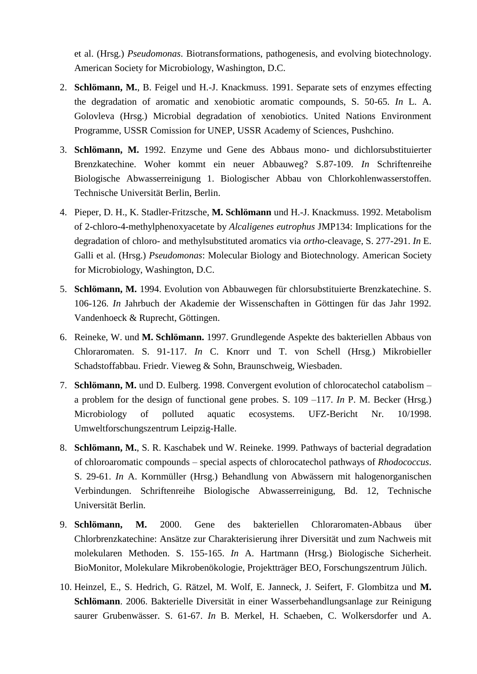et al. (Hrsg.) *Pseudomonas*. Biotransformations, pathogenesis, and evolving biotechnology. American Society for Microbiology, Washington, D.C.

- 2. **Schlömann, M.**, B. Feigel und H.-J. Knackmuss. 1991. Separate sets of enzymes effecting the degradation of aromatic and xenobiotic aromatic compounds, S. 50-65. *In* L. A. Golovleva (Hrsg.) Microbial degradation of xenobiotics. United Nations Environment Programme, USSR Comission for UNEP, USSR Academy of Sciences, Pushchino.
- 3. **Schlömann, M.** 1992. Enzyme und Gene des Abbaus mono- und dichlorsubstituierter Brenzkatechine. Woher kommt ein neuer Abbauweg? S.87-109. *In* Schriftenreihe Biologische Abwasserreinigung 1. Biologischer Abbau von Chlorkohlenwasserstoffen. Technische Universität Berlin, Berlin.
- 4. Pieper, D. H., K. Stadler-Fritzsche, **M. Schlömann** und H.-J. Knackmuss. 1992. Metabolism of 2-chloro-4-methylphenoxyacetate by *Alcaligenes eutrophus* JMP134: Implications for the degradation of chloro- and methylsubstituted aromatics via *ortho*-cleavage, S. 277-291. *In* E. Galli et al. (Hrsg.) *Pseudomonas*: Molecular Biology and Biotechnology. American Society for Microbiology, Washington, D.C.
- 5. **Schlömann, M.** 1994. Evolution von Abbauwegen für chlorsubstituierte Brenzkatechine. S. 106-126. *In* Jahrbuch der Akademie der Wissenschaften in Göttingen für das Jahr 1992. Vandenhoeck & Ruprecht, Göttingen.
- 6. Reineke, W. und **M. Schlömann.** 1997. Grundlegende Aspekte des bakteriellen Abbaus von Chloraromaten. S. 91-117. *In* C. Knorr und T. von Schell (Hrsg.) Mikrobieller Schadstoffabbau. Friedr. Vieweg & Sohn, Braunschweig, Wiesbaden.
- 7. **Schlömann, M.** und D. Eulberg. 1998. Convergent evolution of chlorocatechol catabolism a problem for the design of functional gene probes. S. 109 –117. *In* P. M. Becker (Hrsg.) Microbiology of polluted aquatic ecosystems. UFZ-Bericht Nr. 10/1998. Umweltforschungszentrum Leipzig-Halle.
- 8. **Schlömann, M.**, S. R. Kaschabek und W. Reineke. 1999. Pathways of bacterial degradation of chloroaromatic compounds – special aspects of chlorocatechol pathways of *Rhodococcus*. S. 29-61. *In* A. Kornmüller (Hrsg.) Behandlung von Abwässern mit halogenorganischen Verbindungen. Schriftenreihe Biologische Abwasserreinigung, Bd. 12, Technische Universität Berlin.
- 9. **Schlömann, M.** 2000. Gene des bakteriellen Chloraromaten-Abbaus über Chlorbrenzkatechine: Ansätze zur Charakterisierung ihrer Diversität und zum Nachweis mit molekularen Methoden. S. 155-165. *In* A. Hartmann (Hrsg.) Biologische Sicherheit. BioMonitor, Molekulare Mikrobenökologie, Projektträger BEO, Forschungszentrum Jülich.
- 10. Heinzel, E., S. Hedrich, G. Rätzel, M. Wolf, E. Janneck, J. Seifert, F. Glombitza und **M. Schlömann**. 2006. Bakterielle Diversität in einer Wasserbehandlungsanlage zur Reinigung saurer Grubenwässer. S. 61-67. *In* B. Merkel, H. Schaeben, C. Wolkersdorfer und A.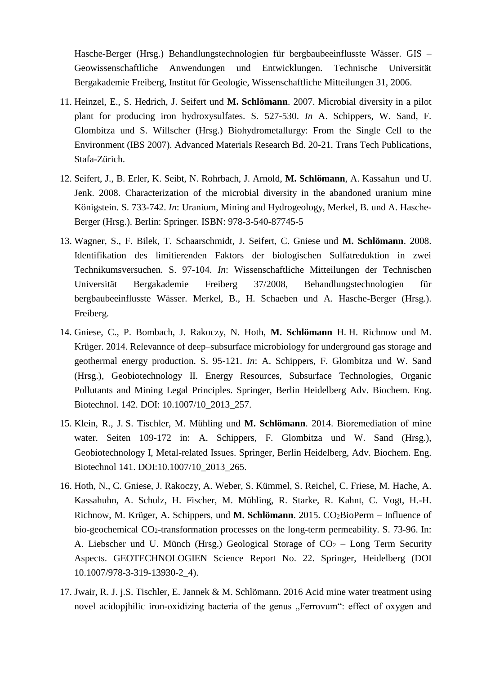Hasche-Berger (Hrsg.) Behandlungstechnologien für bergbaubeeinflusste Wässer. GIS – Geowissenschaftliche Anwendungen und Entwicklungen. Technische Universität Bergakademie Freiberg, Institut für Geologie, Wissenschaftliche Mitteilungen 31, 2006.

- 11. Heinzel, E., S. Hedrich, J. Seifert und **M. Schlömann**. 2007. Microbial diversity in a pilot plant for producing iron hydroxysulfates. S. 527-530. *In* A. Schippers, W. Sand, F. Glombitza und S. Willscher (Hrsg.) Biohydrometallurgy: From the Single Cell to the Environment (IBS 2007). Advanced Materials Research Bd. 20-21. Trans Tech Publications, Stafa-Zürich.
- 12. Seifert, J., B. Erler, K. Seibt, N. Rohrbach, J. Arnold, **M. Schlömann**, A. Kassahun und U. Jenk. 2008. Characterization of the microbial diversity in the abandoned uranium mine Königstein. S. 733-742. *In*: Uranium, Mining and Hydrogeology, Merkel, B. und A. Hasche-Berger (Hrsg.). Berlin: Springer. ISBN: 978-3-540-87745-5
- 13. Wagner, S., F. Bilek, T. Schaarschmidt, J. Seifert, C. Gniese und **M. Schlömann**. 2008. Identifikation des limitierenden Faktors der biologischen Sulfatreduktion in zwei Technikumsversuchen. S. 97-104. *In*: Wissenschaftliche Mitteilungen der Technischen Universität Bergakademie Freiberg 37/2008, Behandlungstechnologien für bergbaubeeinflusste Wässer. Merkel, B., H. Schaeben und A. Hasche-Berger (Hrsg.). Freiberg.
- 14. Gniese, C., P. Bombach, J. Rakoczy, N. Hoth, **M. Schlömann** H. H. Richnow und M. Krüger. 2014. Relevannce of deep–subsurface microbiology for underground gas storage and geothermal energy production. S. 95-121. *In*: A. Schippers, F. Glombitza und W. Sand (Hrsg.), Geobiotechnology II. Energy Resources, Subsurface Technologies, Organic Pollutants and Mining Legal Principles. Springer, Berlin Heidelberg Adv. Biochem. Eng. Biotechnol. 142. DOI: 10.1007/10\_2013\_257.
- 15. Klein, R., J. S. Tischler, M. Mühling und **M. Schlömann**. 2014. Bioremediation of mine water. Seiten 109-172 in: A. Schippers, F. Glombitza und W. Sand (Hrsg.), Geobiotechnology I, Metal-related Issues. Springer, Berlin Heidelberg, Adv. Biochem. Eng. Biotechnol 141. DOI:10.1007/10\_2013\_265.
- 16. Hoth, N., C. Gniese, J. Rakoczy, A. Weber, S. Kümmel, S. Reichel, C. Friese, M. Hache, A. Kassahuhn, A. Schulz, H. Fischer, M. Mühling, R. Starke, R. Kahnt, C. Vogt, H.-H. Richnow, M. Krüger, A. Schippers, und M. Schlömann. 2015. CO<sub>2</sub>BioPerm – Influence of bio-geochemical CO<sub>2</sub>-transformation processes on the long-term permeability. S. 73-96. In: A. Liebscher und U. Münch (Hrsg.) Geological Storage of  $CO<sub>2</sub> - Long Term Security$ Aspects. GEOTECHNOLOGIEN Science Report No. 22. Springer, Heidelberg (DOI 10.1007/978-3-319-13930-2\_4).
- 17. Jwair, R. J. j.S. Tischler, E. Jannek & M. Schlömann. 2016 Acid mine water treatment using novel acidopihilic iron-oxidizing bacteria of the genus "Ferrovum": effect of oxygen and